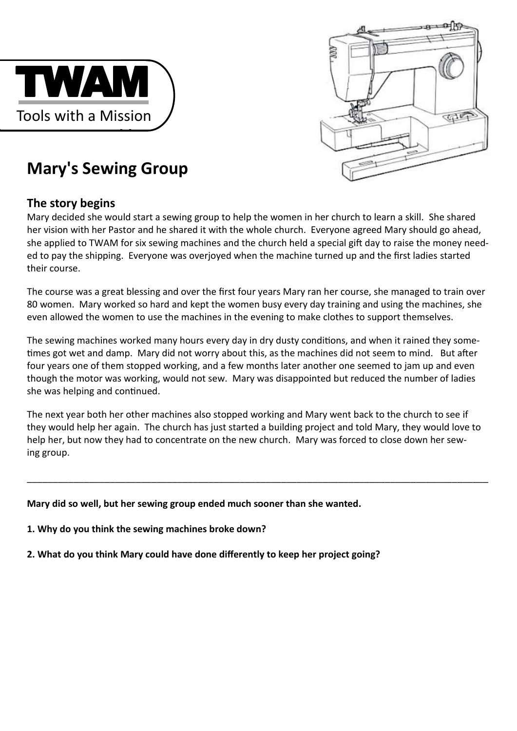

# $\mathbb{C}^{16}$

# **Mary's Sewing Group**

# **The story begins**

Mary decided she would start a sewing group to help the women in her church to learn a skill. She shared her vision with her Pastor and he shared it with the whole church. Everyone agreed Mary should go ahead, she applied to TWAM for six sewing machines and the church held a special gift day to raise the money needed to pay the shipping. Everyone was overjoyed when the machine turned up and the first ladies started their course.

The course was a great blessing and over the first four years Mary ran her course, she managed to train over 80 women. Mary worked so hard and kept the women busy every day training and using the machines, she even allowed the women to use the machines in the evening to make clothes to support themselves.

The sewing machines worked many hours every day in dry dusty conditions, and when it rained they sometimes got wet and damp. Mary did not worry about this, as the machines did not seem to mind. But after four years one of them stopped working, and a few months later another one seemed to jam up and even though the motor was working, would not sew. Mary was disappointed but reduced the number of ladies she was helping and continued.

The next year both her other machines also stopped working and Mary went back to the church to see if they would help her again. The church has just started a building project and told Mary, they would love to help her, but now they had to concentrate on the new church. Mary was forced to close down her sewing group.

\_\_\_\_\_\_\_\_\_\_\_\_\_\_\_\_\_\_\_\_\_\_\_\_\_\_\_\_\_\_\_\_\_\_\_\_\_\_\_\_\_\_\_\_\_\_\_\_\_\_\_\_\_\_\_\_\_\_\_\_\_\_\_\_\_\_\_\_\_\_\_\_\_\_\_\_\_\_\_\_\_\_\_\_\_\_\_\_\_

## **Mary did so well, but her sewing group ended much sooner than she wanted.**

- **1. Why do you think the sewing machines broke down?**
- **2. What do you think Mary could have done differently to keep her project going?**